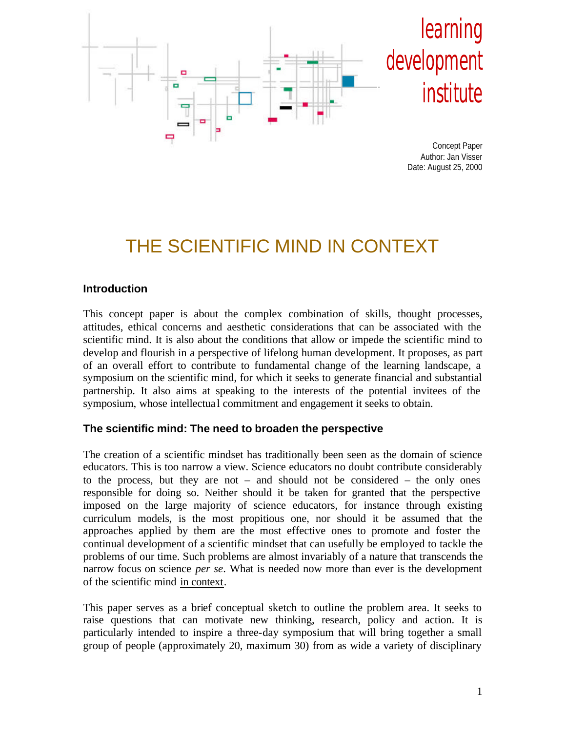

# THE SCIENTIFIC MIND IN CONTEXT

#### **Introduction**

This concept paper is about the complex combination of skills, thought processes, attitudes, ethical concerns and aesthetic considerations that can be associated with the scientific mind. It is also about the conditions that allow or impede the scientific mind to develop and flourish in a perspective of lifelong human development. It proposes, as part of an overall effort to contribute to fundamental change of the learning landscape, a symposium on the scientific mind, for which it seeks to generate financial and substantial partnership. It also aims at speaking to the interests of the potential invitees of the symposium, whose intellectua l commitment and engagement it seeks to obtain.

#### **The scientific mind: The need to broaden the perspective**

The creation of a scientific mindset has traditionally been seen as the domain of science educators. This is too narrow a view. Science educators no doubt contribute considerably to the process, but they are not – and should not be considered – the only ones responsible for doing so. Neither should it be taken for granted that the perspective imposed on the large majority of science educators, for instance through existing curriculum models, is the most propitious one, nor should it be assumed that the approaches applied by them are the most effective ones to promote and foster the continual development of a scientific mindset that can usefully be employed to tackle the problems of our time. Such problems are almost invariably of a nature that transcends the narrow focus on science *per se*. What is needed now more than ever is the development of the scientific mind in context.

This paper serves as a brief conceptual sketch to outline the problem area. It seeks to raise questions that can motivate new thinking, research, policy and action. It is particularly intended to inspire a three-day symposium that will bring together a small group of people (approximately 20, maximum 30) from as wide a variety of disciplinary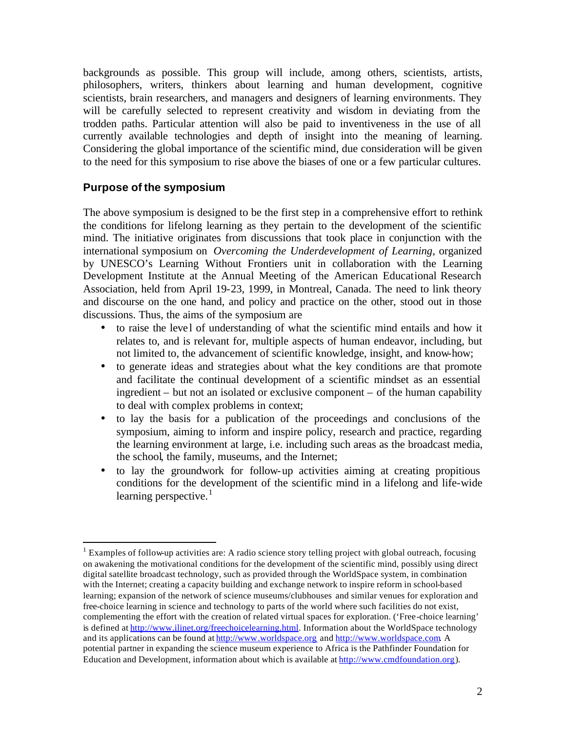backgrounds as possible. This group will include, among others, scientists, artists, philosophers, writers, thinkers about learning and human development, cognitive scientists, brain researchers, and managers and designers of learning environments. They will be carefully selected to represent creativity and wisdom in deviating from the trodden paths. Particular attention will also be paid to inventiveness in the use of all currently available technologies and depth of insight into the meaning of learning. Considering the global importance of the scientific mind, due consideration will be given to the need for this symposium to rise above the biases of one or a few particular cultures.

#### **Purpose of the symposium**

 $\overline{a}$ 

The above symposium is designed to be the first step in a comprehensive effort to rethink the conditions for lifelong learning as they pertain to the development of the scientific mind. The initiative originates from discussions that took place in conjunction with the international symposium on *Overcoming the Underdevelopment of Learning*, organized by UNESCO's Learning Without Frontiers unit in collaboration with the Learning Development Institute at the Annual Meeting of the American Educational Research Association, held from April 19-23, 1999, in Montreal, Canada. The need to link theory and discourse on the one hand, and policy and practice on the other, stood out in those discussions. Thus, the aims of the symposium are

- to raise the level of understanding of what the scientific mind entails and how it relates to, and is relevant for, multiple aspects of human endeavor, including, but not limited to, the advancement of scientific knowledge, insight, and know-how;
- to generate ideas and strategies about what the key conditions are that promote and facilitate the continual development of a scientific mindset as an essential ingredient – but not an isolated or exclusive component – of the human capability to deal with complex problems in context;
- to lay the basis for a publication of the proceedings and conclusions of the symposium, aiming to inform and inspire policy, research and practice, regarding the learning environment at large, i.e. including such areas as the broadcast media, the school, the family, museums, and the Internet;
- to lay the groundwork for follow-up activities aiming at creating propitious conditions for the development of the scientific mind in a lifelong and life-wide learning perspective. $\frac{1}{1}$

<sup>&</sup>lt;sup>1</sup> Examples of follow-up activities are: A radio science story telling project with global outreach, focusing on awakening the motivational conditions for the development of the scientific mind, possibly using direct digital satellite broadcast technology, such as provided through the WorldSpace system, in combination with the Internet; creating a capacity building and exchange network to inspire reform in school-based learning; expansion of the network of science museums/clubhouses and similar venues for exploration and free-choice learning in science and technology to parts of the world where such facilities do not exist, complementing the effort with the creation of related virtual spaces for exploration. ('Free-choice learning' is defined at http://www.ilinet.org/freechoicelearning.html. Information about the WorldSpace technology and its applications can be found at http://www.worldspace.org and http://www.worldspace.com. A potential partner in expanding the science museum experience to Africa is the Pathfinder Foundation for Education and Development, information about which is available at http://www.cmdfoundation.org).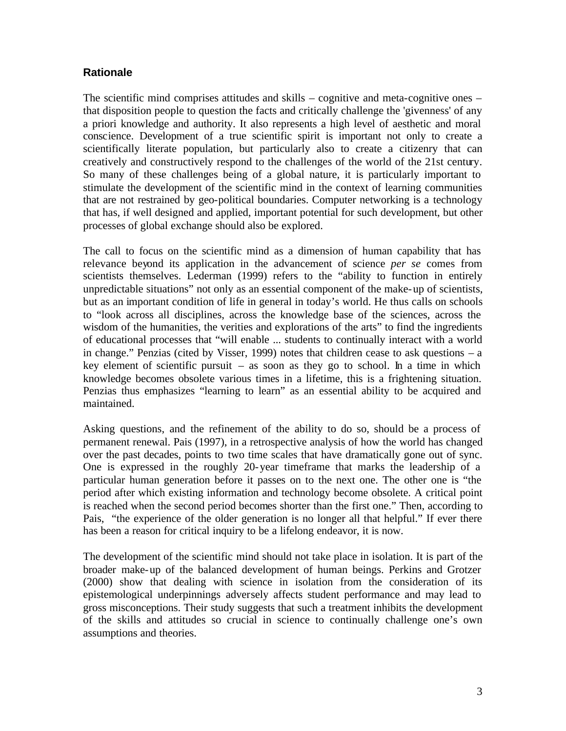### **Rationale**

The scientific mind comprises attitudes and skills – cognitive and meta-cognitive ones – that disposition people to question the facts and critically challenge the 'givenness' of any a priori knowledge and authority. It also represents a high level of aesthetic and moral conscience. Development of a true scientific spirit is important not only to create a scientifically literate population, but particularly also to create a citizenry that can creatively and constructively respond to the challenges of the world of the 21st century. So many of these challenges being of a global nature, it is particularly important to stimulate the development of the scientific mind in the context of learning communities that are not restrained by geo-political boundaries. Computer networking is a technology that has, if well designed and applied, important potential for such development, but other processes of global exchange should also be explored.

The call to focus on the scientific mind as a dimension of human capability that has relevance beyond its application in the advancement of science *per se* comes from scientists themselves. Lederman (1999) refers to the "ability to function in entirely unpredictable situations" not only as an essential component of the make-up of scientists, but as an important condition of life in general in today's world. He thus calls on schools to "look across all disciplines, across the knowledge base of the sciences, across the wisdom of the humanities, the verities and explorations of the arts" to find the ingredients of educational processes that "will enable ... students to continually interact with a world in change." Penzias (cited by Visser, 1999) notes that children cease to ask questions – a key element of scientific pursuit – as soon as they go to school. In a time in which knowledge becomes obsolete various times in a lifetime, this is a frightening situation. Penzias thus emphasizes "learning to learn" as an essential ability to be acquired and maintained.

Asking questions, and the refinement of the ability to do so, should be a process of permanent renewal. Pais (1997), in a retrospective analysis of how the world has changed over the past decades, points to two time scales that have dramatically gone out of sync. One is expressed in the roughly 20-year timeframe that marks the leadership of a particular human generation before it passes on to the next one. The other one is "the period after which existing information and technology become obsolete. A critical point is reached when the second period becomes shorter than the first one." Then, according to Pais, "the experience of the older generation is no longer all that helpful." If ever there has been a reason for critical inquiry to be a lifelong endeavor, it is now.

The development of the scientific mind should not take place in isolation. It is part of the broader make-up of the balanced development of human beings. Perkins and Grotzer (2000) show that dealing with science in isolation from the consideration of its epistemological underpinnings adversely affects student performance and may lead to gross misconceptions. Their study suggests that such a treatment inhibits the development of the skills and attitudes so crucial in science to continually challenge one's own assumptions and theories.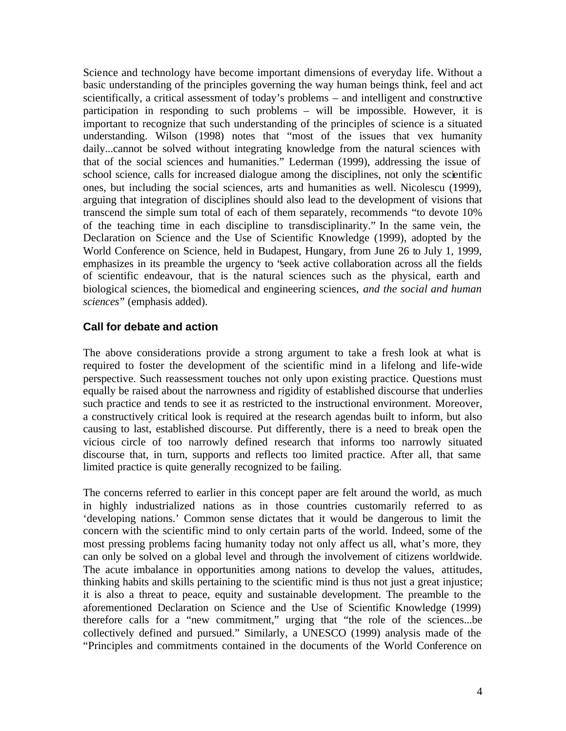Science and technology have become important dimensions of everyday life. Without a basic understanding of the principles governing the way human beings think, feel and act scientifically, a critical assessment of today's problems – and intelligent and constructive participation in responding to such problems – will be impossible. However, it is important to recognize that such understanding of the principles of science is a situated understanding. Wilson (1998) notes that "most of the issues that vex humanity daily...cannot be solved without integrating knowledge from the natural sciences with that of the social sciences and humanities." Lederman (1999), addressing the issue of school science, calls for increased dialogue among the disciplines, not only the scientific ones, but including the social sciences, arts and humanities as well. Nicolescu (1999), arguing that integration of disciplines should also lead to the development of visions that transcend the simple sum total of each of them separately, recommends "to devote 10% of the teaching time in each discipline to transdisciplinarity." In the same vein, the Declaration on Science and the Use of Scientific Knowledge (1999), adopted by the World Conference on Science, held in Budapest, Hungary, from June 26 to July 1, 1999, emphasizes in its preamble the urgency to "seek active collaboration across all the fields of scientific endeavour, that is the natural sciences such as the physical, earth and biological sciences, the biomedical and engineering sciences, *and the social and human sciences*" (emphasis added).

### **Call for debate and action**

The above considerations provide a strong argument to take a fresh look at what is required to foster the development of the scientific mind in a lifelong and life-wide perspective. Such reassessment touches not only upon existing practice. Questions must equally be raised about the narrowness and rigidity of established discourse that underlies such practice and tends to see it as restricted to the instructional environment. Moreover, a constructively critical look is required at the research agendas built to inform, but also causing to last, established discourse. Put differently, there is a need to break open the vicious circle of too narrowly defined research that informs too narrowly situated discourse that, in turn, supports and reflects too limited practice. After all, that same limited practice is quite generally recognized to be failing.

The concerns referred to earlier in this concept paper are felt around the world, as much in highly industrialized nations as in those countries customarily referred to as 'developing nations.' Common sense dictates that it would be dangerous to limit the concern with the scientific mind to only certain parts of the world. Indeed, some of the most pressing problems facing humanity today not only affect us all, what's more, they can only be solved on a global level and through the involvement of citizens worldwide. The acute imbalance in opportunities among nations to develop the values, attitudes, thinking habits and skills pertaining to the scientific mind is thus not just a great injustice; it is also a threat to peace, equity and sustainable development. The preamble to the aforementioned Declaration on Science and the Use of Scientific Knowledge (1999) therefore calls for a "new commitment," urging that "the role of the sciences...be collectively defined and pursued." Similarly, a UNESCO (1999) analysis made of the "Principles and commitments contained in the documents of the World Conference on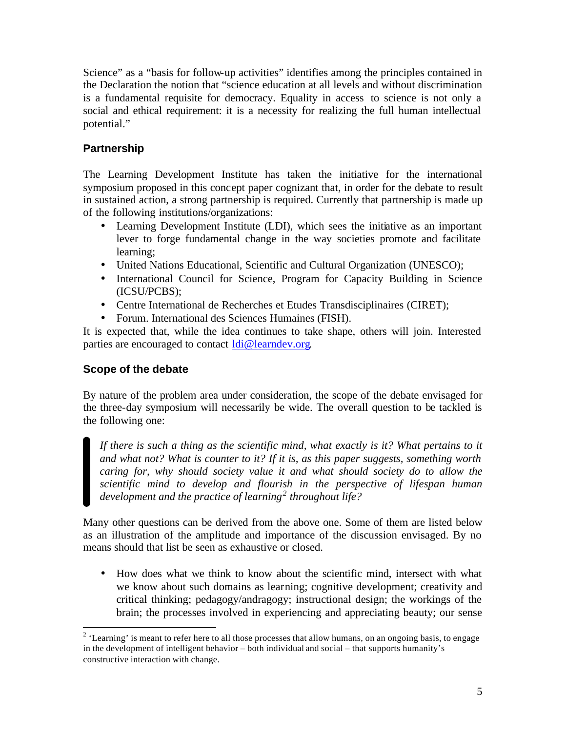Science" as a "basis for follow-up activities" identifies among the principles contained in the Declaration the notion that "science education at all levels and without discrimination is a fundamental requisite for democracy. Equality in access to science is not only a social and ethical requirement: it is a necessity for realizing the full human intellectual potential."

## **Partnership**

The Learning Development Institute has taken the initiative for the international symposium proposed in this concept paper cognizant that, in order for the debate to result in sustained action, a strong partnership is required. Currently that partnership is made up of the following institutions/organizations:

- Learning Development Institute (LDI), which sees the initiative as an important lever to forge fundamental change in the way societies promote and facilitate learning;
- United Nations Educational, Scientific and Cultural Organization (UNESCO);
- International Council for Science, Program for Capacity Building in Science (ICSU/PCBS);
- Centre International de Recherches et Etudes Transdisciplinaires (CIRET);
- Forum. International des Sciences Humaines (FISH).

It is expected that, while the idea continues to take shape, others will join. Interested parties are encouraged to contact ldi@learndev.org.

# **Scope of the debate**

By nature of the problem area under consideration, the scope of the debate envisaged for the three-day symposium will necessarily be wide. The overall question to be tackled is the following one:

*If there is such a thing as the scientific mind, what exactly is it? What pertains to it and what not? What is counter to it? If it is, as this paper suggests, something worth caring for, why should society value it and what should society do to allow the scientific mind to develop and flourish in the perspective of lifespan human development and the practice of learning<sup>2</sup> throughout life?*

Many other questions can be derived from the above one. Some of them are listed below as an illustration of the amplitude and importance of the discussion envisaged. By no means should that list be seen as exhaustive or closed.

• How does what we think to know about the scientific mind, intersect with what we know about such domains as learning; cognitive development; creativity and critical thinking; pedagogy/andragogy; instructional design; the workings of the brain; the processes involved in experiencing and appreciating beauty; our sense

 $\overline{a}$  $2$  'Learning' is meant to refer here to all those processes that allow humans, on an ongoing basis, to engage in the development of intelligent behavior – both individual and social – that supports humanity's constructive interaction with change.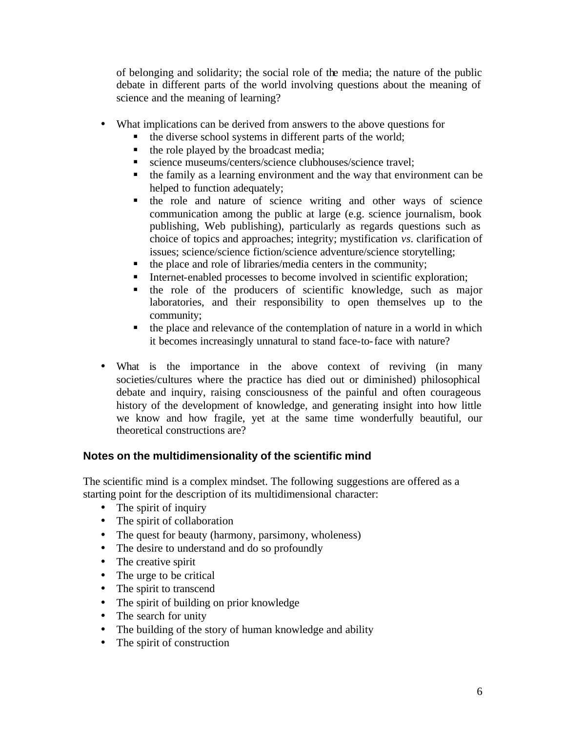of belonging and solidarity; the social role of the media; the nature of the public debate in different parts of the world involving questions about the meaning of science and the meaning of learning?

- What implications can be derived from answers to the above questions for
	- ß the diverse school systems in different parts of the world;
	- $\blacksquare$  the role played by the broadcast media;
	- science museums/centers/science clubhouses/science travel;
	- $\bullet$  the family as a learning environment and the way that environment can be helped to function adequately;
	- ß the role and nature of science writing and other ways of science communication among the public at large (e.g. science journalism, book publishing, Web publishing), particularly as regards questions such as choice of topics and approaches; integrity; mystification *vs.* clarification of issues; science/science fiction/science adventure/science storytelling;
	- $\blacksquare$  the place and role of libraries/media centers in the community;
	- Internet-enabled processes to become involved in scientific exploration;
	- $\blacksquare$  the role of the producers of scientific knowledge, such as major laboratories, and their responsibility to open themselves up to the community;
	- $\blacksquare$  the place and relevance of the contemplation of nature in a world in which it becomes increasingly unnatural to stand face-to-face with nature?
- What is the importance in the above context of reviving (in many societies/cultures where the practice has died out or diminished) philosophical debate and inquiry, raising consciousness of the painful and often courageous history of the development of knowledge, and generating insight into how little we know and how fragile, yet at the same time wonderfully beautiful, our theoretical constructions are?

## **Notes on the multidimensionality of the scientific mind**

The scientific mind is a complex mindset. The following suggestions are offered as a starting point for the description of its multidimensional character:

- The spirit of inquiry
- The spirit of collaboration
- The quest for beauty (harmony, parsimony, wholeness)
- The desire to understand and do so profoundly
- The creative spirit
- The urge to be critical
- The spirit to transcend
- The spirit of building on prior knowledge
- The search for unity
- The building of the story of human knowledge and ability
- The spirit of construction